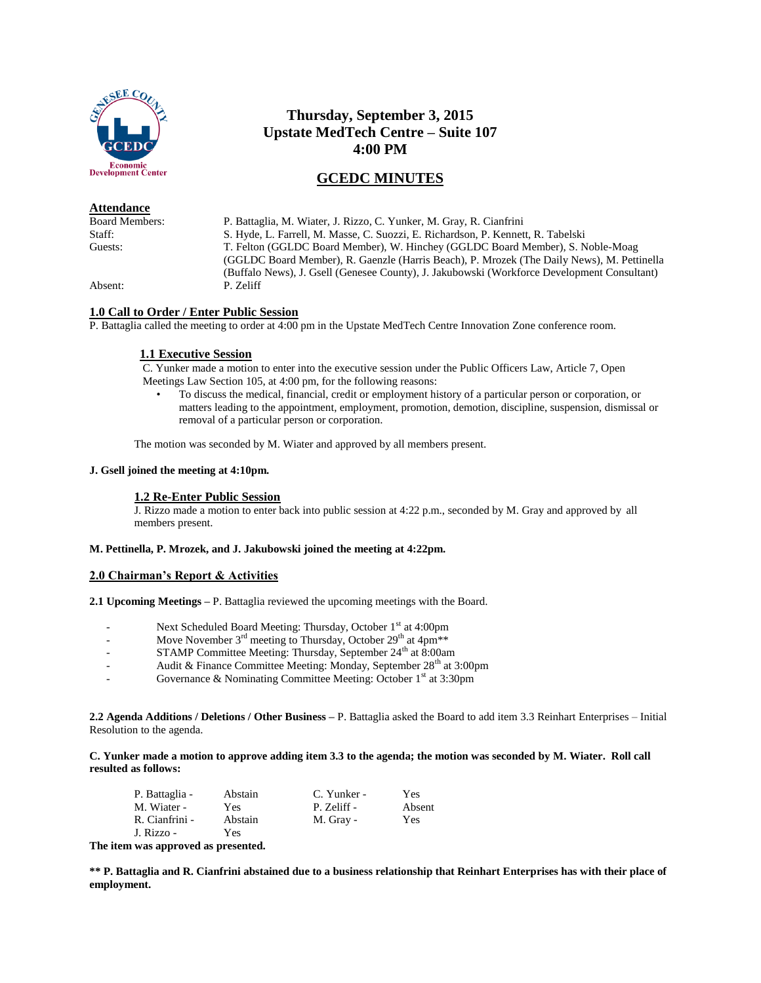

**Attendance**

# **Thursday, September 3, 2015 Upstate MedTech Centre – Suite 107 4:00 PM**

# **GCEDC MINUTES**

Board Members: P. Battaglia, M. Wiater, J. Rizzo, C. Yunker, M. Gray, R. Cianfrini Staff: S. Hyde, L. Farrell, M. Masse, C. Suozzi, E. Richardson, P. Kennett, R. Tabelski<br>
T. Felton (GGLDC Board Member). W. Hinchey (GGLDC Board Member). S. N T. Felton (GGLDC Board Member), W. Hinchey (GGLDC Board Member), S. Noble-Moag (GGLDC Board Member), R. Gaenzle (Harris Beach), P. Mrozek (The Daily News), M. Pettinella (Buffalo News), J. Gsell (Genesee County), J. Jakubowski (Workforce Development Consultant) Absent: P. Zeliff

# **1.0 Call to Order / Enter Public Session**

P. Battaglia called the meeting to order at 4:00 pm in the Upstate MedTech Centre Innovation Zone conference room.

# **1.1 Executive Session**

C. Yunker made a motion to enter into the executive session under the Public Officers Law, Article 7, Open Meetings Law Section 105, at 4:00 pm, for the following reasons:

• To discuss the medical, financial, credit or employment history of a particular person or corporation, or matters leading to the appointment, employment, promotion, demotion, discipline, suspension, dismissal or removal of a particular person or corporation.

The motion was seconded by M. Wiater and approved by all members present.

## **J. Gsell joined the meeting at 4:10pm.**

#### **1.2 Re-Enter Public Session**

J. Rizzo made a motion to enter back into public session at 4:22 p.m., seconded by M. Gray and approved by all members present.

#### **M. Pettinella, P. Mrozek, and J. Jakubowski joined the meeting at 4:22pm.**

## **2.0 Chairman's Report & Activities**

**2.1 Upcoming Meetings –** P. Battaglia reviewed the upcoming meetings with the Board.

- Next Scheduled Board Meeting: Thursday, October 1<sup>st</sup> at 4:00pm
- Move November  $3<sup>rd</sup>$  meeting to Thursday, October  $29<sup>th</sup>$  at  $4pm**$
- STAMP Committee Meeting: Thursday, September 24<sup>th</sup> at 8:00am
- Audit & Finance Committee Meeting: Monday, September 28<sup>th</sup> at 3:00pm
- Governance & Nominating Committee Meeting: October  $1<sup>st</sup>$  at 3:30pm

**2.2 Agenda Additions / Deletions / Other Business –** P. Battaglia asked the Board to add item 3.3 Reinhart Enterprises – Initial Resolution to the agenda.

**C. Yunker made a motion to approve adding item 3.3 to the agenda; the motion was seconded by M. Wiater. Roll call resulted as follows:**

| P. Battaglia - | Abstain | C. Yunker - | Yes        |
|----------------|---------|-------------|------------|
| M. Wiater -    | Yes     | P. Zeliff - | Absent     |
| R. Cianfrini - | Abstain | M. Gray -   | <b>Yes</b> |
| J. Rizzo -     | Yes     |             |            |

**The item was approved as presented.**

**\*\* P. Battaglia and R. Cianfrini abstained due to a business relationship that Reinhart Enterprises has with their place of employment.**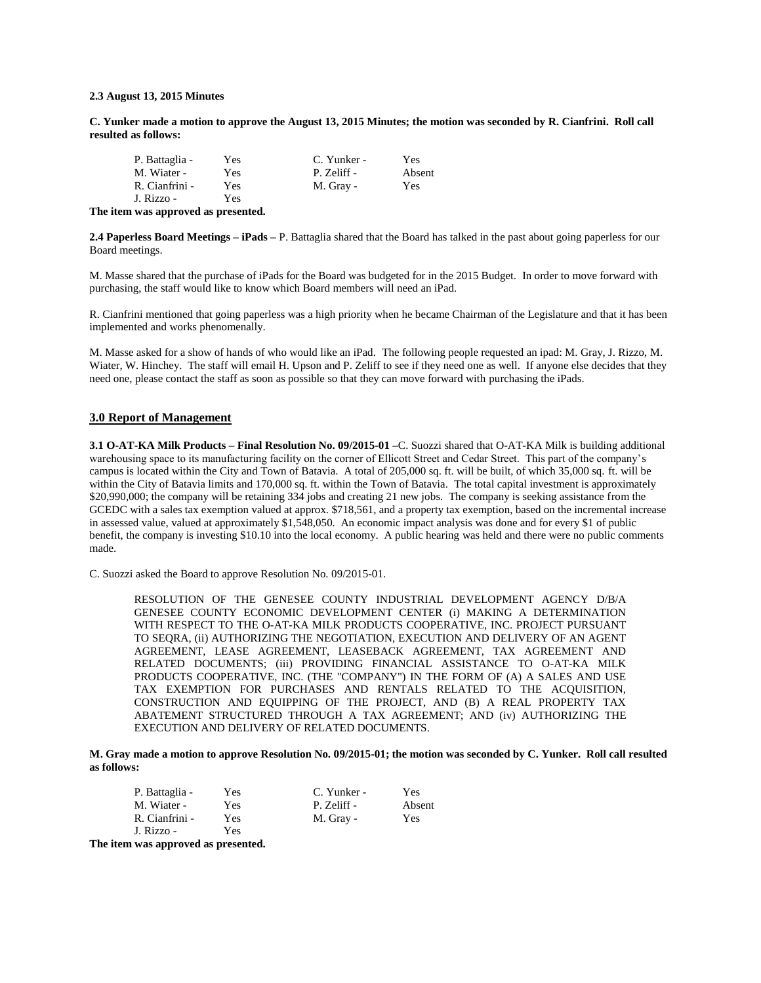#### **2.3 August 13, 2015 Minutes**

**C. Yunker made a motion to approve the August 13, 2015 Minutes; the motion was seconded by R. Cianfrini. Roll call resulted as follows:**

| P. Battaglia - | Yes | C. Yunker - | Yes    |
|----------------|-----|-------------|--------|
| M. Wiater -    | Yes | P. Zeliff - | Absent |
| R. Cianfrini - | Yes | M. Gray -   | Yes    |
| J. Rizzo -     | Yes |             |        |

**The item was approved as presented.**

**2.4 Paperless Board Meetings – iPads –** P. Battaglia shared that the Board has talked in the past about going paperless for our Board meetings.

M. Masse shared that the purchase of iPads for the Board was budgeted for in the 2015 Budget. In order to move forward with purchasing, the staff would like to know which Board members will need an iPad.

R. Cianfrini mentioned that going paperless was a high priority when he became Chairman of the Legislature and that it has been implemented and works phenomenally.

M. Masse asked for a show of hands of who would like an iPad. The following people requested an ipad: M. Gray, J. Rizzo, M. Wiater, W. Hinchey. The staff will email H. Upson and P. Zeliff to see if they need one as well. If anyone else decides that they need one, please contact the staff as soon as possible so that they can move forward with purchasing the iPads.

#### **3.0 Report of Management**

**3.1 O-AT-KA Milk Products – Final Resolution No. 09/2015-01 –**C. Suozzi shared that O-AT-KA Milk is building additional warehousing space to its manufacturing facility on the corner of Ellicott Street and Cedar Street. This part of the company's campus is located within the City and Town of Batavia. A total of 205,000 sq. ft. will be built, of which 35,000 sq. ft. will be within the City of Batavia limits and 170,000 sq. ft. within the Town of Batavia. The total capital investment is approximately \$20,990,000; the company will be retaining 334 jobs and creating 21 new jobs. The company is seeking assistance from the GCEDC with a sales tax exemption valued at approx. \$718,561, and a property tax exemption, based on the incremental increase in assessed value, valued at approximately \$1,548,050. An economic impact analysis was done and for every \$1 of public benefit, the company is investing \$10.10 into the local economy. A public hearing was held and there were no public comments made.

C. Suozzi asked the Board to approve Resolution No. 09/2015-01.

RESOLUTION OF THE GENESEE COUNTY INDUSTRIAL DEVELOPMENT AGENCY D/B/A GENESEE COUNTY ECONOMIC DEVELOPMENT CENTER (i) MAKING A DETERMINATION WITH RESPECT TO THE O-AT-KA MILK PRODUCTS COOPERATIVE, INC. PROJECT PURSUANT TO SEQRA, (ii) AUTHORIZING THE NEGOTIATION, EXECUTION AND DELIVERY OF AN AGENT AGREEMENT, LEASE AGREEMENT, LEASEBACK AGREEMENT, TAX AGREEMENT AND RELATED DOCUMENTS; (iii) PROVIDING FINANCIAL ASSISTANCE TO O-AT-KA MILK PRODUCTS COOPERATIVE, INC. (THE "COMPANY") IN THE FORM OF (A) A SALES AND USE TAX EXEMPTION FOR PURCHASES AND RENTALS RELATED TO THE ACQUISITION, CONSTRUCTION AND EQUIPPING OF THE PROJECT, AND (B) A REAL PROPERTY TAX ABATEMENT STRUCTURED THROUGH A TAX AGREEMENT; AND (iv) AUTHORIZING THE EXECUTION AND DELIVERY OF RELATED DOCUMENTS.

**M. Gray made a motion to approve Resolution No. 09/2015-01; the motion was seconded by C. Yunker. Roll call resulted as follows:**

| P. Battaglia - | Yes | C. Yunker - | Yes    |
|----------------|-----|-------------|--------|
| M. Wiater -    | Yes | P. Zeliff - | Absent |
| R. Cianfrini - | Yes | M. Gray -   | Yes    |
| J. Rizzo -     | Yes |             |        |

**The item was approved as presented.**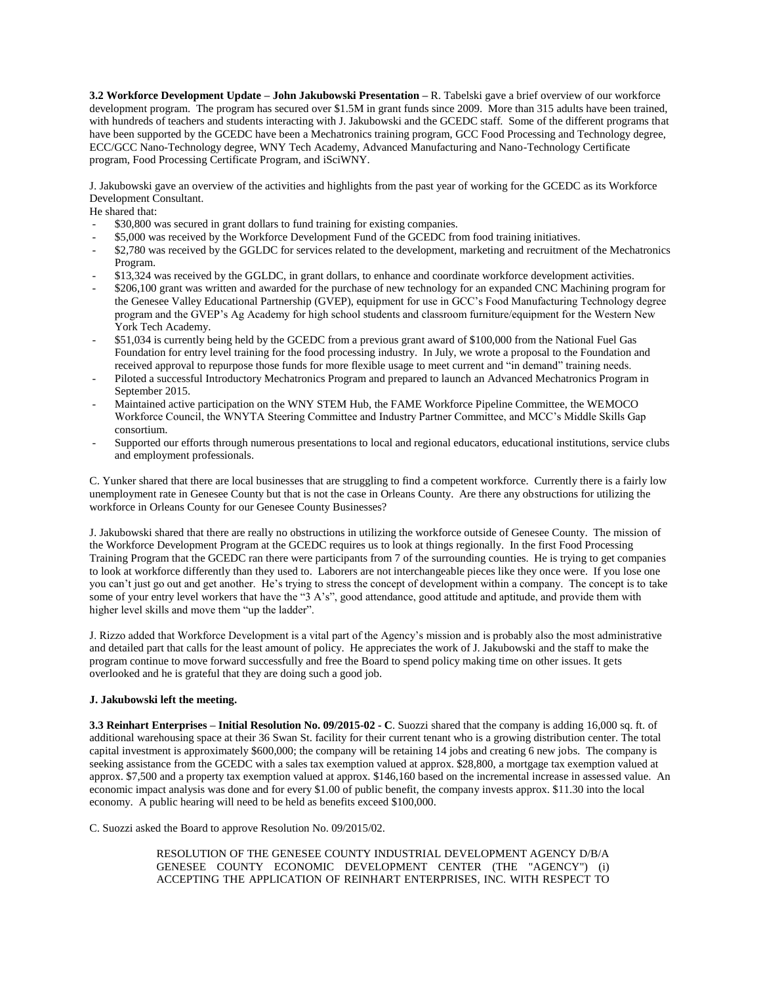**3.2 Workforce Development Update – John Jakubowski Presentation –** R. Tabelski gave a brief overview of our workforce development program. The program has secured over \$1.5M in grant funds since 2009. More than 315 adults have been trained, with hundreds of teachers and students interacting with J. Jakubowski and the GCEDC staff. Some of the different programs that have been supported by the GCEDC have been a Mechatronics training program, GCC Food Processing and Technology degree, ECC/GCC Nano-Technology degree, WNY Tech Academy, Advanced Manufacturing and Nano-Technology Certificate program, Food Processing Certificate Program, and iSciWNY.

J. Jakubowski gave an overview of the activities and highlights from the past year of working for the GCEDC as its Workforce Development Consultant.

He shared that:

- \$30,800 was secured in grant dollars to fund training for existing companies.
- \$5,000 was received by the Workforce Development Fund of the GCEDC from food training initiatives.
- \$2,780 was received by the GGLDC for services related to the development, marketing and recruitment of the Mechatronics Program.
- \$13,324 was received by the GGLDC, in grant dollars, to enhance and coordinate workforce development activities.
- \$206,100 grant was written and awarded for the purchase of new technology for an expanded CNC Machining program for the Genesee Valley Educational Partnership (GVEP), equipment for use in GCC's Food Manufacturing Technology degree program and the GVEP's Ag Academy for high school students and classroom furniture/equipment for the Western New York Tech Academy.
- \$51,034 is currently being held by the GCEDC from a previous grant award of \$100,000 from the National Fuel Gas Foundation for entry level training for the food processing industry. In July, we wrote a proposal to the Foundation and received approval to repurpose those funds for more flexible usage to meet current and "in demand" training needs.
- Piloted a successful Introductory Mechatronics Program and prepared to launch an Advanced Mechatronics Program in September 2015.
- Maintained active participation on the WNY STEM Hub, the FAME Workforce Pipeline Committee, the WEMOCO Workforce Council, the WNYTA Steering Committee and Industry Partner Committee, and MCC's Middle Skills Gap consortium.
- Supported our efforts through numerous presentations to local and regional educators, educational institutions, service clubs and employment professionals.

C. Yunker shared that there are local businesses that are struggling to find a competent workforce. Currently there is a fairly low unemployment rate in Genesee County but that is not the case in Orleans County. Are there any obstructions for utilizing the workforce in Orleans County for our Genesee County Businesses?

J. Jakubowski shared that there are really no obstructions in utilizing the workforce outside of Genesee County. The mission of the Workforce Development Program at the GCEDC requires us to look at things regionally. In the first Food Processing Training Program that the GCEDC ran there were participants from 7 of the surrounding counties. He is trying to get companies to look at workforce differently than they used to. Laborers are not interchangeable pieces like they once were. If you lose one you can't just go out and get another. He's trying to stress the concept of development within a company. The concept is to take some of your entry level workers that have the "3 A's", good attendance, good attitude and aptitude, and provide them with higher level skills and move them "up the ladder".

J. Rizzo added that Workforce Development is a vital part of the Agency's mission and is probably also the most administrative and detailed part that calls for the least amount of policy. He appreciates the work of J. Jakubowski and the staff to make the program continue to move forward successfully and free the Board to spend policy making time on other issues. It gets overlooked and he is grateful that they are doing such a good job.

#### **J. Jakubowski left the meeting.**

**3.3 Reinhart Enterprises – Initial Resolution No. 09/2015-02 - C**. Suozzi shared that the company is adding 16,000 sq. ft. of additional warehousing space at their 36 Swan St. facility for their current tenant who is a growing distribution center. The total capital investment is approximately \$600,000; the company will be retaining 14 jobs and creating 6 new jobs. The company is seeking assistance from the GCEDC with a sales tax exemption valued at approx. \$28,800, a mortgage tax exemption valued at approx. \$7,500 and a property tax exemption valued at approx. \$146,160 based on the incremental increase in assessed value. An economic impact analysis was done and for every \$1.00 of public benefit, the company invests approx. \$11.30 into the local economy. A public hearing will need to be held as benefits exceed \$100,000.

C. Suozzi asked the Board to approve Resolution No. 09/2015/02.

RESOLUTION OF THE GENESEE COUNTY INDUSTRIAL DEVELOPMENT AGENCY D/B/A GENESEE COUNTY ECONOMIC DEVELOPMENT CENTER (THE "AGENCY") (i) ACCEPTING THE APPLICATION OF REINHART ENTERPRISES, INC. WITH RESPECT TO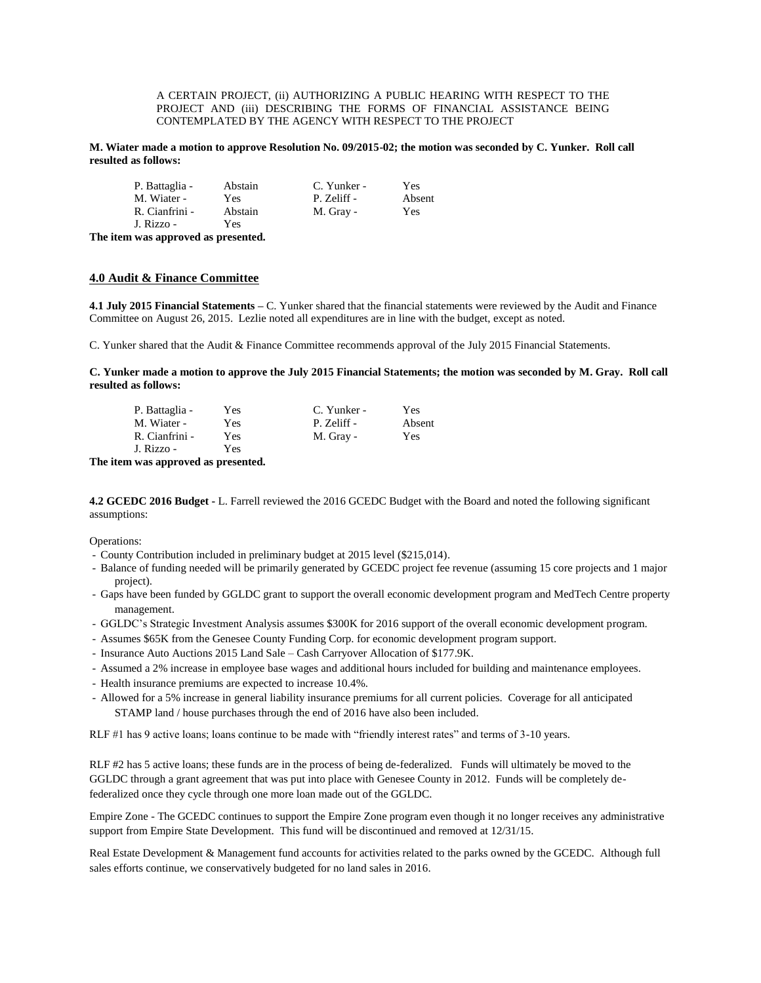A CERTAIN PROJECT, (ii) AUTHORIZING A PUBLIC HEARING WITH RESPECT TO THE PROJECT AND (iii) DESCRIBING THE FORMS OF FINANCIAL ASSISTANCE BEING CONTEMPLATED BY THE AGENCY WITH RESPECT TO THE PROJECT

**M. Wiater made a motion to approve Resolution No. 09/2015-02; the motion was seconded by C. Yunker. Roll call resulted as follows:**

| P. Battaglia - | Abstain | C. Yunker - | Yes    |
|----------------|---------|-------------|--------|
| M. Wiater -    | Yes.    | P. Zeliff - | Absent |
| R. Cianfrini - | Abstain | M. Gray -   | Yes    |
| J. Rizzo -     | Yes     |             |        |

**The item was approved as presented.**

## **4.0 Audit & Finance Committee**

**4.1 July 2015 Financial Statements –** C. Yunker shared that the financial statements were reviewed by the Audit and Finance Committee on August 26, 2015. Lezlie noted all expenditures are in line with the budget, except as noted.

C. Yunker shared that the Audit & Finance Committee recommends approval of the July 2015 Financial Statements.

**C. Yunker made a motion to approve the July 2015 Financial Statements; the motion was seconded by M. Gray. Roll call resulted as follows:**

| P. Battaglia - | Yes        | C. Yunker - | Yes    |
|----------------|------------|-------------|--------|
| M. Wiater -    | <b>Yes</b> | P. Zeliff - | Absent |
| R. Cianfrini - | Yes        | M. Gray -   | Yes.   |
| J. Rizzo -     | Yes        |             |        |

**The item was approved as presented.**

**4.2 GCEDC 2016 Budget -** L. Farrell reviewed the 2016 GCEDC Budget with the Board and noted the following significant assumptions:

Operations:

- County Contribution included in preliminary budget at 2015 level (\$215,014).
- Balance of funding needed will be primarily generated by GCEDC project fee revenue (assuming 15 core projects and 1 major project).
- Gaps have been funded by GGLDC grant to support the overall economic development program and MedTech Centre property management.
- GGLDC's Strategic Investment Analysis assumes \$300K for 2016 support of the overall economic development program.
- Assumes \$65K from the Genesee County Funding Corp. for economic development program support.
- Insurance Auto Auctions 2015 Land Sale Cash Carryover Allocation of \$177.9K.
- Assumed a 2% increase in employee base wages and additional hours included for building and maintenance employees.
- Health insurance premiums are expected to increase 10.4%.
- Allowed for a 5% increase in general liability insurance premiums for all current policies. Coverage for all anticipated STAMP land / house purchases through the end of 2016 have also been included.

RLF #1 has 9 active loans; loans continue to be made with "friendly interest rates" and terms of 3-10 years.

RLF #2 has 5 active loans; these funds are in the process of being de-federalized. Funds will ultimately be moved to the GGLDC through a grant agreement that was put into place with Genesee County in 2012. Funds will be completely defederalized once they cycle through one more loan made out of the GGLDC.

Empire Zone - The GCEDC continues to support the Empire Zone program even though it no longer receives any administrative support from Empire State Development. This fund will be discontinued and removed at 12/31/15.

Real Estate Development & Management fund accounts for activities related to the parks owned by the GCEDC. Although full sales efforts continue, we conservatively budgeted for no land sales in 2016.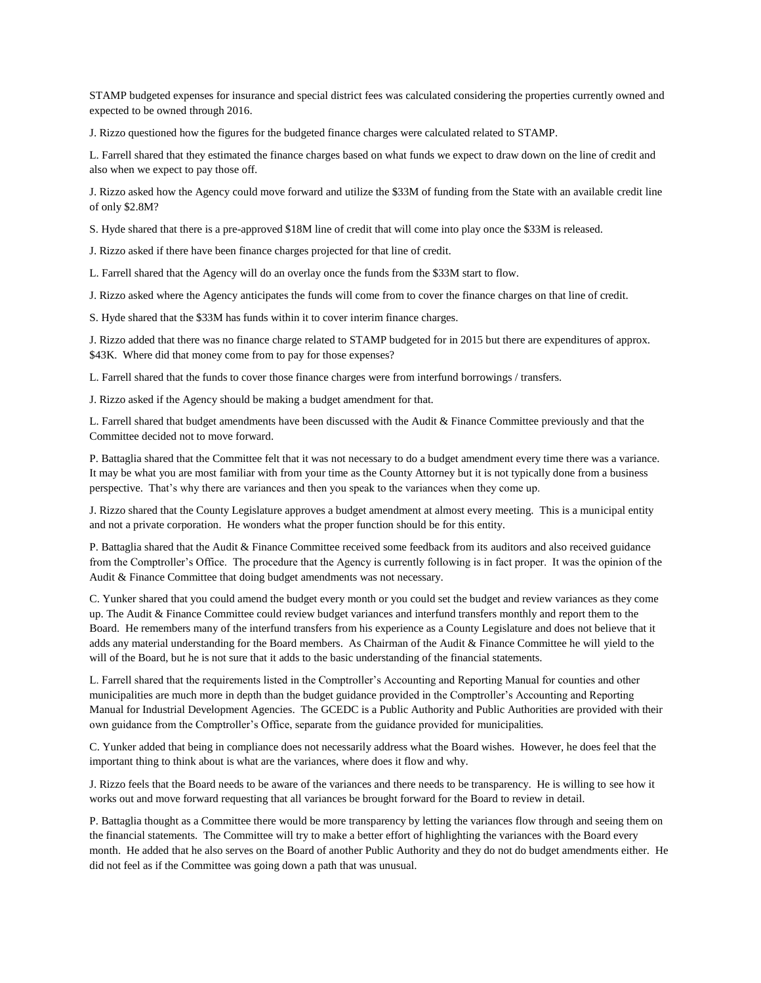STAMP budgeted expenses for insurance and special district fees was calculated considering the properties currently owned and expected to be owned through 2016.

J. Rizzo questioned how the figures for the budgeted finance charges were calculated related to STAMP.

L. Farrell shared that they estimated the finance charges based on what funds we expect to draw down on the line of credit and also when we expect to pay those off.

J. Rizzo asked how the Agency could move forward and utilize the \$33M of funding from the State with an available credit line of only \$2.8M?

S. Hyde shared that there is a pre-approved \$18M line of credit that will come into play once the \$33M is released.

J. Rizzo asked if there have been finance charges projected for that line of credit.

L. Farrell shared that the Agency will do an overlay once the funds from the \$33M start to flow.

J. Rizzo asked where the Agency anticipates the funds will come from to cover the finance charges on that line of credit.

S. Hyde shared that the \$33M has funds within it to cover interim finance charges.

J. Rizzo added that there was no finance charge related to STAMP budgeted for in 2015 but there are expenditures of approx. \$43K. Where did that money come from to pay for those expenses?

L. Farrell shared that the funds to cover those finance charges were from interfund borrowings / transfers.

J. Rizzo asked if the Agency should be making a budget amendment for that.

L. Farrell shared that budget amendments have been discussed with the Audit & Finance Committee previously and that the Committee decided not to move forward.

P. Battaglia shared that the Committee felt that it was not necessary to do a budget amendment every time there was a variance. It may be what you are most familiar with from your time as the County Attorney but it is not typically done from a business perspective. That's why there are variances and then you speak to the variances when they come up.

J. Rizzo shared that the County Legislature approves a budget amendment at almost every meeting. This is a municipal entity and not a private corporation. He wonders what the proper function should be for this entity.

P. Battaglia shared that the Audit & Finance Committee received some feedback from its auditors and also received guidance from the Comptroller's Office. The procedure that the Agency is currently following is in fact proper. It was the opinion of the Audit & Finance Committee that doing budget amendments was not necessary.

C. Yunker shared that you could amend the budget every month or you could set the budget and review variances as they come up. The Audit & Finance Committee could review budget variances and interfund transfers monthly and report them to the Board. He remembers many of the interfund transfers from his experience as a County Legislature and does not believe that it adds any material understanding for the Board members. As Chairman of the Audit & Finance Committee he will yield to the will of the Board, but he is not sure that it adds to the basic understanding of the financial statements.

L. Farrell shared that the requirements listed in the Comptroller's Accounting and Reporting Manual for counties and other municipalities are much more in depth than the budget guidance provided in the Comptroller's Accounting and Reporting Manual for Industrial Development Agencies. The GCEDC is a Public Authority and Public Authorities are provided with their own guidance from the Comptroller's Office, separate from the guidance provided for municipalities.

C. Yunker added that being in compliance does not necessarily address what the Board wishes. However, he does feel that the important thing to think about is what are the variances, where does it flow and why.

J. Rizzo feels that the Board needs to be aware of the variances and there needs to be transparency. He is willing to see how it works out and move forward requesting that all variances be brought forward for the Board to review in detail.

P. Battaglia thought as a Committee there would be more transparency by letting the variances flow through and seeing them on the financial statements. The Committee will try to make a better effort of highlighting the variances with the Board every month. He added that he also serves on the Board of another Public Authority and they do not do budget amendments either. He did not feel as if the Committee was going down a path that was unusual.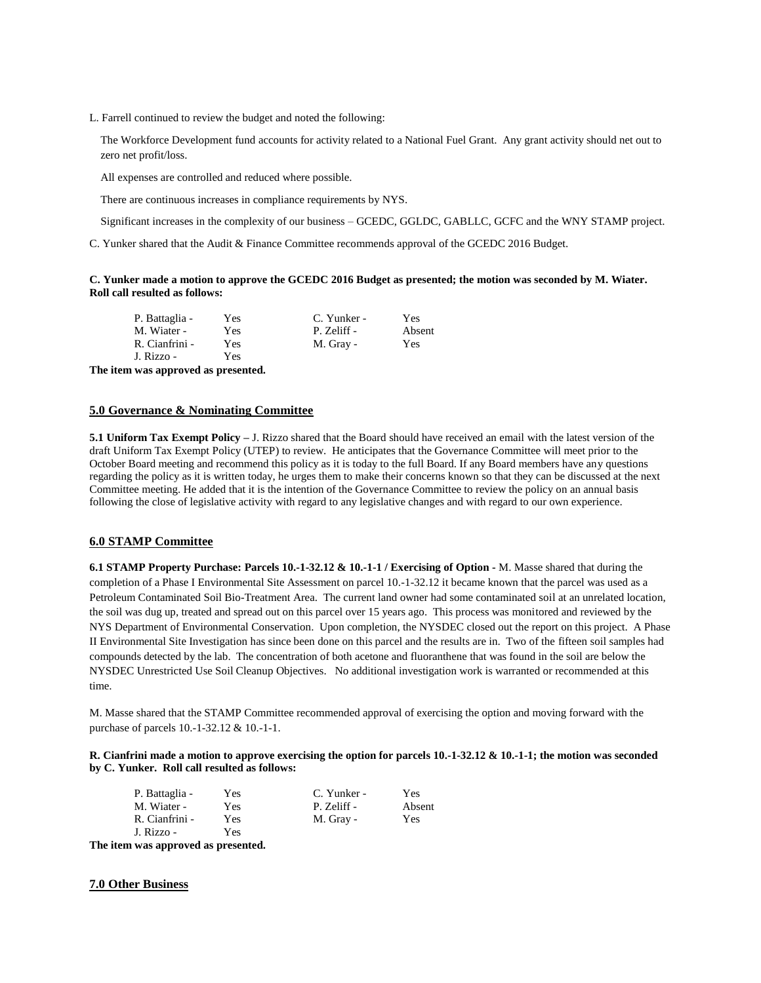L. Farrell continued to review the budget and noted the following:

The Workforce Development fund accounts for activity related to a National Fuel Grant. Any grant activity should net out to zero net profit/loss.

All expenses are controlled and reduced where possible.

There are continuous increases in compliance requirements by NYS.

Significant increases in the complexity of our business – GCEDC, GGLDC, GABLLC, GCFC and the WNY STAMP project.

C. Yunker shared that the Audit & Finance Committee recommends approval of the GCEDC 2016 Budget.

#### **C. Yunker made a motion to approve the GCEDC 2016 Budget as presented; the motion was seconded by M. Wiater. Roll call resulted as follows:**

| P. Battaglia - | Yes | C. Yunker - | Yes    |
|----------------|-----|-------------|--------|
| M. Wiater -    | Yes | P. Zeliff - | Absent |
| R. Cianfrini - | Yes | M. Gray -   | Yes    |
| J. Rizzo -     | Yes |             |        |
|                |     |             |        |

**The item was approved as presented.**

## **5.0 Governance & Nominating Committee**

**5.1 Uniform Tax Exempt Policy –** J. Rizzo shared that the Board should have received an email with the latest version of the draft Uniform Tax Exempt Policy (UTEP) to review. He anticipates that the Governance Committee will meet prior to the October Board meeting and recommend this policy as it is today to the full Board. If any Board members have any questions regarding the policy as it is written today, he urges them to make their concerns known so that they can be discussed at the next Committee meeting. He added that it is the intention of the Governance Committee to review the policy on an annual basis following the close of legislative activity with regard to any legislative changes and with regard to our own experience.

#### **6.0 STAMP Committee**

**6.1 STAMP Property Purchase: Parcels 10.-1-32.12 & 10.-1-1 / Exercising of Option -** M. Masse shared that during the completion of a Phase I Environmental Site Assessment on parcel 10.-1-32.12 it became known that the parcel was used as a Petroleum Contaminated Soil Bio-Treatment Area. The current land owner had some contaminated soil at an unrelated location, the soil was dug up, treated and spread out on this parcel over 15 years ago. This process was monitored and reviewed by the NYS Department of Environmental Conservation. Upon completion, the NYSDEC closed out the report on this project. A Phase II Environmental Site Investigation has since been done on this parcel and the results are in. Two of the fifteen soil samples had compounds detected by the lab. The concentration of both acetone and fluoranthene that was found in the soil are below the NYSDEC Unrestricted Use Soil Cleanup Objectives. No additional investigation work is warranted or recommended at this time.

M. Masse shared that the STAMP Committee recommended approval of exercising the option and moving forward with the purchase of parcels 10.-1-32.12 & 10.-1-1.

**R. Cianfrini made a motion to approve exercising the option for parcels 10.-1-32.12 & 10.-1-1; the motion was seconded by C. Yunker. Roll call resulted as follows:**

| P. Battaglia - | Yes | C. Yunker - | Yes        |
|----------------|-----|-------------|------------|
| M. Wiater -    | Yes | P. Zeliff - | Absent     |
| R. Cianfrini - | Yes | M. Gray -   | <b>Yes</b> |
| J. Rizzo -     | Yes |             |            |

**The item was approved as presented.**

#### **7.0 Other Business**